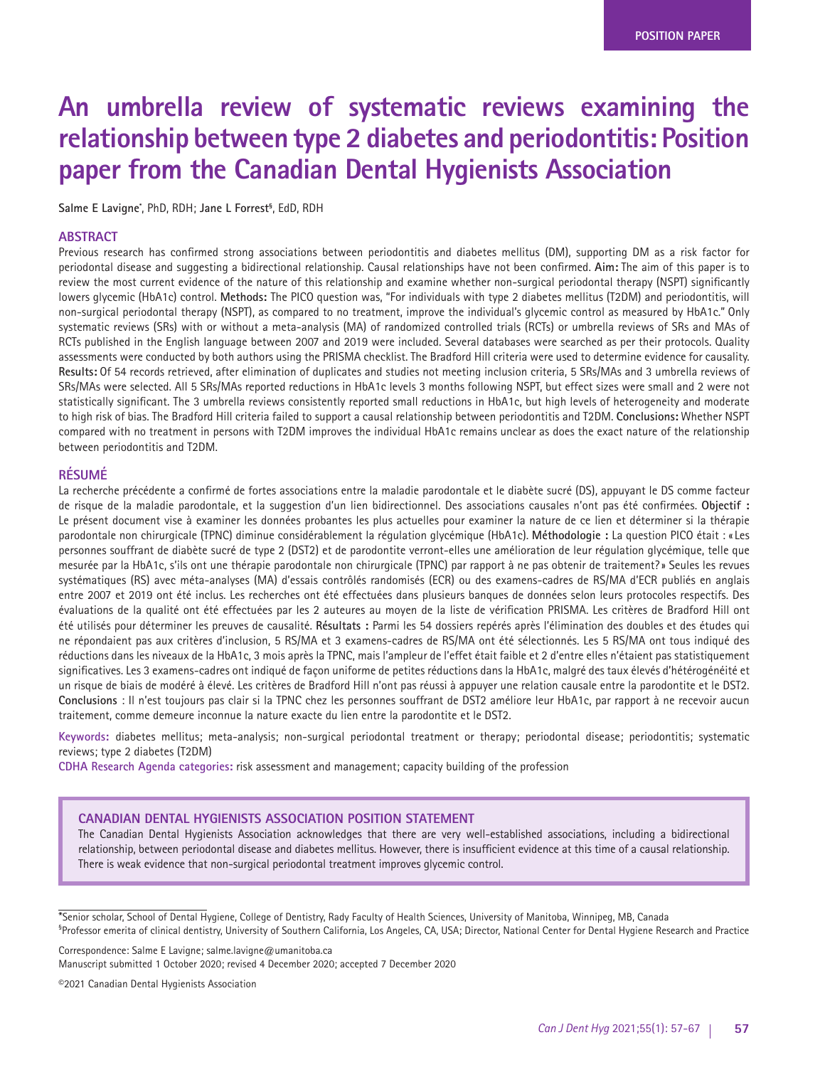# **An umbrella review of systematic reviews examining the relationship between type 2 diabetes and periodontitis: Position paper from the Canadian Dental Hygienists Association**

**Salme E Lavigne\*** , PhD, RDH; **Jane L Forrest§** , EdD, RDH

# **ABSTRACT**

Previous research has confirmed strong associations between periodontitis and diabetes mellitus (DM), supporting DM as a risk factor for periodontal disease and suggesting a bidirectional relationship. Causal relationships have not been confirmed. **Aim:** The aim of this paper is to review the most current evidence of the nature of this relationship and examine whether non-surgical periodontal therapy (NSPT) significantly lowers glycemic (HbA1c) control. **Methods:** The PICO question was, "For individuals with type 2 diabetes mellitus (T2DM) and periodontitis, will non-surgical periodontal therapy (NSPT), as compared to no treatment, improve the individual's glycemic control as measured by HbA1c." Only systematic reviews (SRs) with or without a meta-analysis (MA) of randomized controlled trials (RCTs) or umbrella reviews of SRs and MAs of RCTs published in the English language between 2007 and 2019 were included. Several databases were searched as per their protocols. Quality assessments were conducted by both authors using the PRISMA checklist. The Bradford Hill criteria were used to determine evidence for causality. Results: Of 54 records retrieved, after elimination of duplicates and studies not meeting inclusion criteria, 5 SRs/MAs and 3 umbrella reviews of SRs/MAs were selected. All 5 SRs/MAs reported reductions in HbA1c levels 3 months following NSPT, but effect sizes were small and 2 were not statistically significant. The 3 umbrella reviews consistently reported small reductions in HbA1c, but high levels of heterogeneity and moderate to high risk of bias. The Bradford Hill criteria failed to support a causal relationship between periodontitis and T2DM. **Conclusions:** Whether NSPT compared with no treatment in persons with T2DM improves the individual HbA1c remains unclear as does the exact nature of the relationship between periodontitis and T2DM.

# **RÉSUMÉ**

La recherche précédente a confirmé de fortes associations entre la maladie parodontale et le diabète sucré (DS), appuyant le DS comme facteur de risque de la maladie parodontale, et la suggestion d'un lien bidirectionnel. Des associations causales n'ont pas été confirmées. **Objectif :**  Le présent document vise à examiner les données probantes les plus actuelles pour examiner la nature de ce lien et déterminer si la thérapie parodontale non chirurgicale (TPNC) diminue considérablement la régulation glycémique (HbA1c). **Méthodologie :** La question PICO était : « Les personnes souffrant de diabète sucré de type 2 (DST2) et de parodontite verront-elles une amélioration de leur régulation glycémique, telle que mesurée par la HbA1c, s'ils ont une thérapie parodontale non chirurgicale (TPNC) par rapport à ne pas obtenir de traitement? » Seules les revues systématiques (RS) avec méta-analyses (MA) d'essais contrôlés randomisés (ECR) ou des examens-cadres de RS/MA d'ECR publiés en anglais entre 2007 et 2019 ont été inclus. Les recherches ont été effectuées dans plusieurs banques de données selon leurs protocoles respectifs. Des évaluations de la qualité ont été effectuées par les 2 auteures au moyen de la liste de vérification PRISMA. Les critères de Bradford Hill ont été utilisés pour déterminer les preuves de causalité. **Résultats :** Parmi les 54 dossiers repérés après l'élimination des doubles et des études qui ne répondaient pas aux critères d'inclusion, 5 RS/MA et 3 examens-cadres de RS/MA ont été sélectionnés. Les 5 RS/MA ont tous indiqué des réductions dans les niveaux de la HbA1c, 3 mois après la TPNC, mais l'ampleur de l'effet était faible et 2 d'entre elles n'étaient pas statistiquement significatives. Les 3 examens-cadres ont indiqué de façon uniforme de petites réductions dans la HbA1c, malgré des taux élevés d'hétérogénéité et un risque de biais de modéré à élevé. Les critères de Bradford Hill n'ont pas réussi à appuyer une relation causale entre la parodontite et le DST2. **Conclusions** : Il n'est toujours pas clair si la TPNC chez les personnes souffrant de DST2 améliore leur HbA1c, par rapport à ne recevoir aucun traitement, comme demeure inconnue la nature exacte du lien entre la parodontite et le DST2.

**Keywords:** diabetes mellitus; meta-analysis; non-surgical periodontal treatment or therapy; periodontal disease; periodontitis; systematic reviews; type 2 diabetes (T2DM)

**CDHA Research Agenda categories:** risk assessment and management; capacity building of the profession

#### **CANADIAN DENTAL HYGIENISTS ASSOCIATION POSITION STATEMENT**

The Canadian Dental Hygienists Association acknowledges that there are very well-established associations, including a bidirectional relationship, between periodontal disease and diabetes mellitus. However, there is insufficient evidence at this time of a causal relationship. There is weak evidence that non-surgical periodontal treatment improves glycemic control.

Correspondence: Salme E Lavigne; salme.lavigne@umanitoba.ca

Manuscript submitted 1 October 2020; revised 4 December 2020; accepted 7 December 2020

©2021 Canadian Dental Hygienists Association

<sup>\*</sup>Senior scholar, School of Dental Hygiene, College of Dentistry, Rady Faculty of Health Sciences, University of Manitoba, Winnipeg, MB, Canada § Professor emerita of clinical dentistry, University of Southern California, Los Angeles, CA, USA; Director, National Center for Dental Hygiene Research and Practice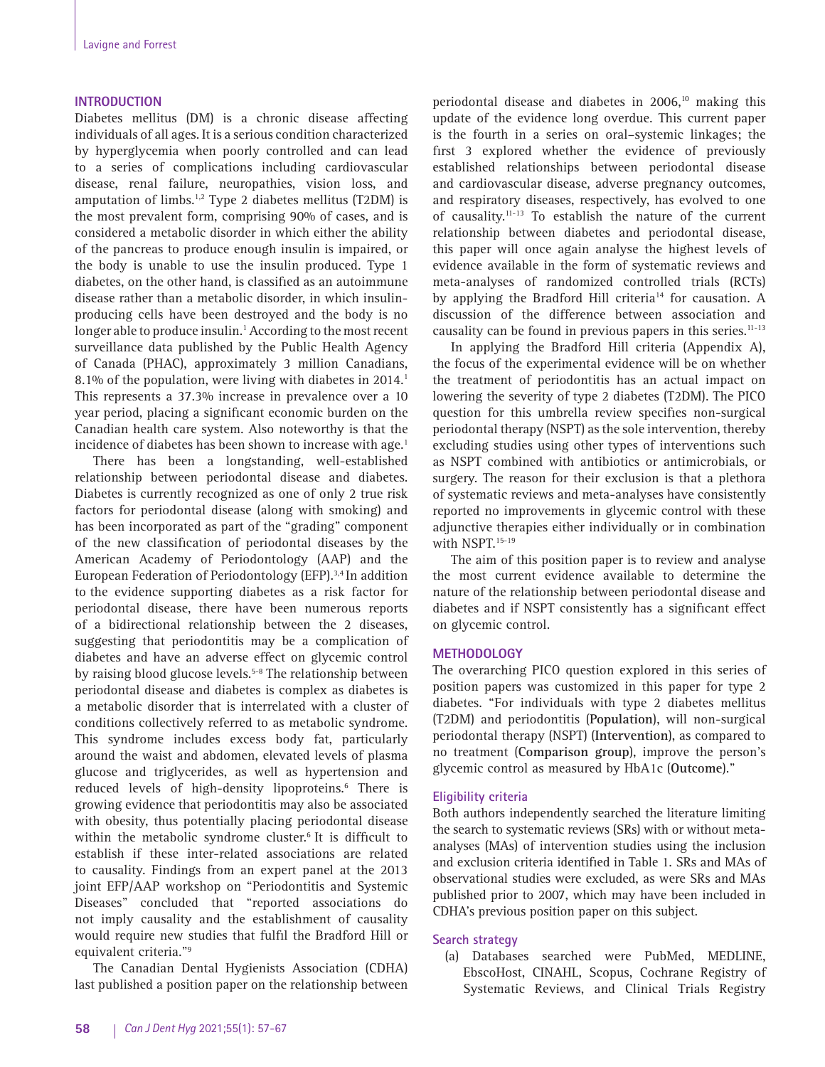## **INTRODUCTION**

Diabetes mellitus (DM) is a chronic disease affecting individuals of all ages. It is a serious condition characterized by hyperglycemia when poorly controlled and can lead to a series of complications including cardiovascular disease, renal failure, neuropathies, vision loss, and amputation of limbs.1,2 Type 2 diabetes mellitus (T2DM) is the most prevalent form, comprising 90% of cases, and is considered a metabolic disorder in which either the ability of the pancreas to produce enough insulin is impaired, or the body is unable to use the insulin produced. Type 1 diabetes, on the other hand, is classified as an autoimmune disease rather than a metabolic disorder, in which insulinproducing cells have been destroyed and the body is no longer able to produce insulin.<sup>1</sup> According to the most recent surveillance data published by the Public Health Agency of Canada (PHAC), approximately 3 million Canadians, 8.1% of the population, were living with diabetes in 2014.<sup>1</sup> This represents a 37.3% increase in prevalence over a 10 year period, placing a significant economic burden on the Canadian health care system. Also noteworthy is that the incidence of diabetes has been shown to increase with age.<sup>1</sup>

There has been a longstanding, well-established relationship between periodontal disease and diabetes. Diabetes is currently recognized as one of only 2 true risk factors for periodontal disease (along with smoking) and has been incorporated as part of the "grading" component of the new classification of periodontal diseases by the American Academy of Periodontology (AAP) and the European Federation of Periodontology (EFP).3,4 In addition to the evidence supporting diabetes as a risk factor for periodontal disease, there have been numerous reports of a bidirectional relationship between the 2 diseases, suggesting that periodontitis may be a complication of diabetes and have an adverse effect on glycemic control by raising blood glucose levels.<sup>5-8</sup> The relationship between periodontal disease and diabetes is complex as diabetes is a metabolic disorder that is interrelated with a cluster of conditions collectively referred to as metabolic syndrome. This syndrome includes excess body fat, particularly around the waist and abdomen, elevated levels of plasma glucose and triglycerides, as well as hypertension and reduced levels of high-density lipoproteins.<sup>6</sup> There is growing evidence that periodontitis may also be associated with obesity, thus potentially placing periodontal disease within the metabolic syndrome cluster.<sup>6</sup> It is difficult to establish if these inter-related associations are related to causality. Findings from an expert panel at the 2013 joint EFP/AAP workshop on "Periodontitis and Systemic Diseases" concluded that "reported associations do not imply causality and the establishment of causality would require new studies that fulfil the Bradford Hill or equivalent criteria."9

The Canadian Dental Hygienists Association (CDHA) last published a position paper on the relationship between

periodontal disease and diabetes in 2006,<sup>10</sup> making this update of the evidence long overdue. This current paper is the fourth in a series on oral–systemic linkages; the first 3 explored whether the evidence of previously established relationships between periodontal disease and cardiovascular disease, adverse pregnancy outcomes, and respiratory diseases, respectively, has evolved to one of causality.11-13 To establish the nature of the current relationship between diabetes and periodontal disease, this paper will once again analyse the highest levels of evidence available in the form of systematic reviews and meta-analyses of randomized controlled trials (RCTs) by applying the Bradford Hill criteria<sup>14</sup> for causation. A discussion of the difference between association and causality can be found in previous papers in this series.<sup>11-13</sup>

In applying the Bradford Hill criteria (Appendix A), the focus of the experimental evidence will be on whether the treatment of periodontitis has an actual impact on lowering the severity of type 2 diabetes (T2DM). The PICO question for this umbrella review specifies non-surgical periodontal therapy (NSPT) as the sole intervention, thereby excluding studies using other types of interventions such as NSPT combined with antibiotics or antimicrobials, or surgery. The reason for their exclusion is that a plethora of systematic reviews and meta-analyses have consistently reported no improvements in glycemic control with these adjunctive therapies either individually or in combination with NSPT.<sup>15-19</sup>

The aim of this position paper is to review and analyse the most current evidence available to determine the nature of the relationship between periodontal disease and diabetes and if NSPT consistently has a significant effect on glycemic control.

#### **METHODOLOGY**

The overarching PICO question explored in this series of position papers was customized in this paper for type 2 diabetes. "For individuals with type 2 diabetes mellitus (T2DM) and periodontitis (**Population**), will non-surgical periodontal therapy (NSPT) (**Intervention**), as compared to no treatment (**Comparison group**), improve the person's glycemic control as measured by HbA1c (**Outcome**)."

#### **Eligibility criteria**

Both authors independently searched the literature limiting the search to systematic reviews (SRs) with or without metaanalyses (MAs) of intervention studies using the inclusion and exclusion criteria identified in Table 1. SRs and MAs of observational studies were excluded, as were SRs and MAs published prior to 2007, which may have been included in CDHA's previous position paper on this subject.

# **Search strategy**

(a) Databases searched were PubMed, MEDLINE, EbscoHost, CINAHL, Scopus, Cochrane Registry of Systematic Reviews, and Clinical Trials Registry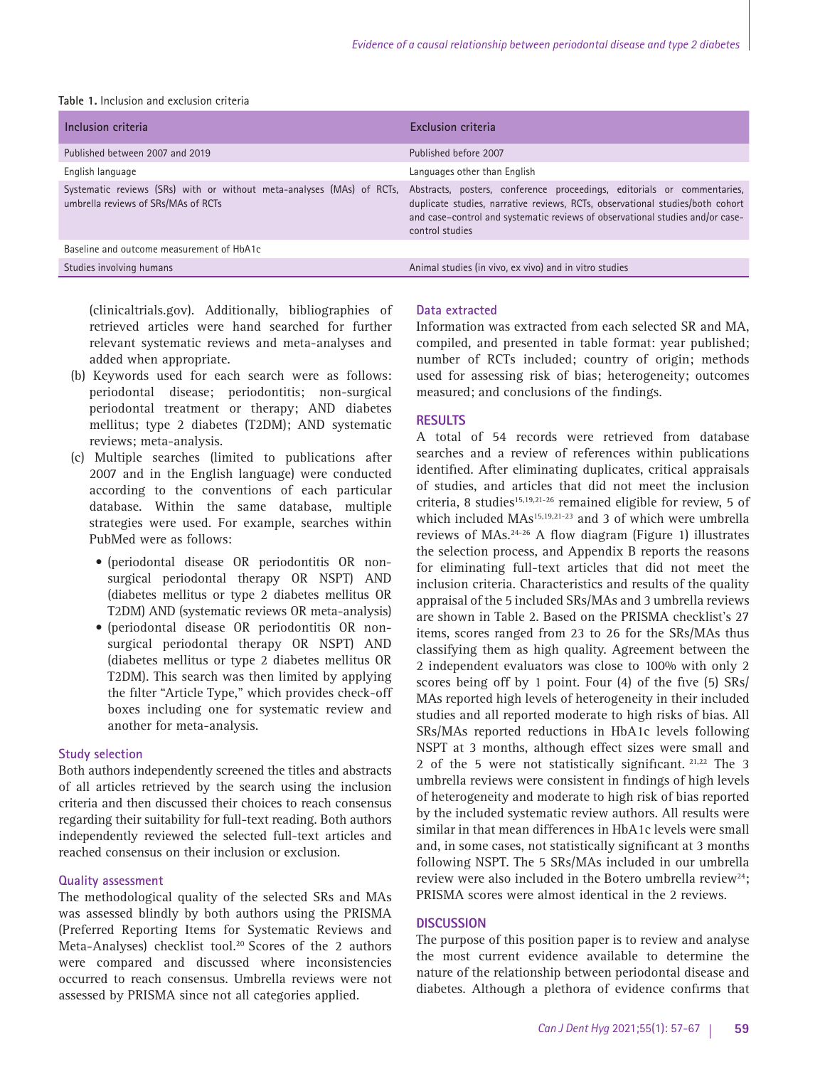| Table 1. Inclusion and exclusion criteria |  |  |
|-------------------------------------------|--|--|
|-------------------------------------------|--|--|

| Inclusion criteria                                                                                           | Exclusion criteria                                                                                                                                                                                                                                           |
|--------------------------------------------------------------------------------------------------------------|--------------------------------------------------------------------------------------------------------------------------------------------------------------------------------------------------------------------------------------------------------------|
| Published between 2007 and 2019                                                                              | Published before 2007                                                                                                                                                                                                                                        |
| English language                                                                                             | Languages other than English                                                                                                                                                                                                                                 |
| Systematic reviews (SRs) with or without meta-analyses (MAs) of RCTs,<br>umbrella reviews of SRs/MAs of RCTs | Abstracts, posters, conference proceedings, editorials or commentaries,<br>duplicate studies, narrative reviews, RCTs, observational studies/both cohort<br>and case-control and systematic reviews of observational studies and/or case-<br>control studies |
| Baseline and outcome measurement of HbA1c                                                                    |                                                                                                                                                                                                                                                              |
| Studies involving humans                                                                                     | Animal studies (in vivo, ex vivo) and in vitro studies                                                                                                                                                                                                       |

(clinicaltrials.gov). Additionally, bibliographies of retrieved articles were hand searched for further relevant systematic reviews and meta-analyses and added when appropriate.

- (b) Keywords used for each search were as follows: periodontal disease; periodontitis; non-surgical periodontal treatment or therapy; AND diabetes mellitus; type 2 diabetes (T2DM); AND systematic reviews; meta-analysis.
- (c) Multiple searches (limited to publications after 2007 and in the English language) were conducted according to the conventions of each particular database. Within the same database, multiple strategies were used. For example, searches within PubMed were as follows:
	- (periodontal disease OR periodontitis OR nonsurgical periodontal therapy OR NSPT) AND (diabetes mellitus or type 2 diabetes mellitus OR T2DM) AND (systematic reviews OR meta-analysis)
	- (periodontal disease OR periodontitis OR nonsurgical periodontal therapy OR NSPT) AND (diabetes mellitus or type 2 diabetes mellitus OR T2DM). This search was then limited by applying the filter "Article Type," which provides check-off boxes including one for systematic review and another for meta-analysis.

## **Study selection**

Both authors independently screened the titles and abstracts of all articles retrieved by the search using the inclusion criteria and then discussed their choices to reach consensus regarding their suitability for full-text reading. Both authors independently reviewed the selected full-text articles and reached consensus on their inclusion or exclusion.

#### **Quality assessment**

The methodological quality of the selected SRs and MAs was assessed blindly by both authors using the PRISMA (Preferred Reporting Items for Systematic Reviews and Meta-Analyses) checklist tool.<sup>20</sup> Scores of the 2 authors were compared and discussed where inconsistencies occurred to reach consensus. Umbrella reviews were not assessed by PRISMA since not all categories applied.

# **Data extracted**

Information was extracted from each selected SR and MA, compiled, and presented in table format: year published; number of RCTs included; country of origin; methods used for assessing risk of bias; heterogeneity; outcomes measured; and conclusions of the findings.

## **RESULTS**

A total of 54 records were retrieved from database searches and a review of references within publications identified. After eliminating duplicates, critical appraisals of studies, and articles that did not meet the inclusion criteria, 8 studies<sup>15,19,21-26</sup> remained eligible for review, 5 of which included MAs<sup>15,19,21-23</sup> and 3 of which were umbrella reviews of MAs.24-26 A flow diagram (Figure 1) illustrates the selection process, and Appendix B reports the reasons for eliminating full-text articles that did not meet the inclusion criteria. Characteristics and results of the quality appraisal of the 5 included SRs/MAs and 3 umbrella reviews are shown in Table 2. Based on the PRISMA checklist's 27 items, scores ranged from 23 to 26 for the SRs/MAs thus classifying them as high quality. Agreement between the 2 independent evaluators was close to 100% with only 2 scores being off by 1 point. Four (4) of the five (5) SRs/ MAs reported high levels of heterogeneity in their included studies and all reported moderate to high risks of bias. All SRs/MAs reported reductions in HbA1c levels following NSPT at 3 months, although effect sizes were small and 2 of the 5 were not statistically significant. <sup>21,22</sup> The 3 umbrella reviews were consistent in findings of high levels of heterogeneity and moderate to high risk of bias reported by the included systematic review authors. All results were similar in that mean differences in HbA1c levels were small and, in some cases, not statistically significant at 3 months following NSPT. The 5 SRs/MAs included in our umbrella review were also included in the Botero umbrella review<sup>24</sup>: PRISMA scores were almost identical in the 2 reviews.

## **DISCUSSION**

The purpose of this position paper is to review and analyse the most current evidence available to determine the nature of the relationship between periodontal disease and diabetes. Although a plethora of evidence confirms that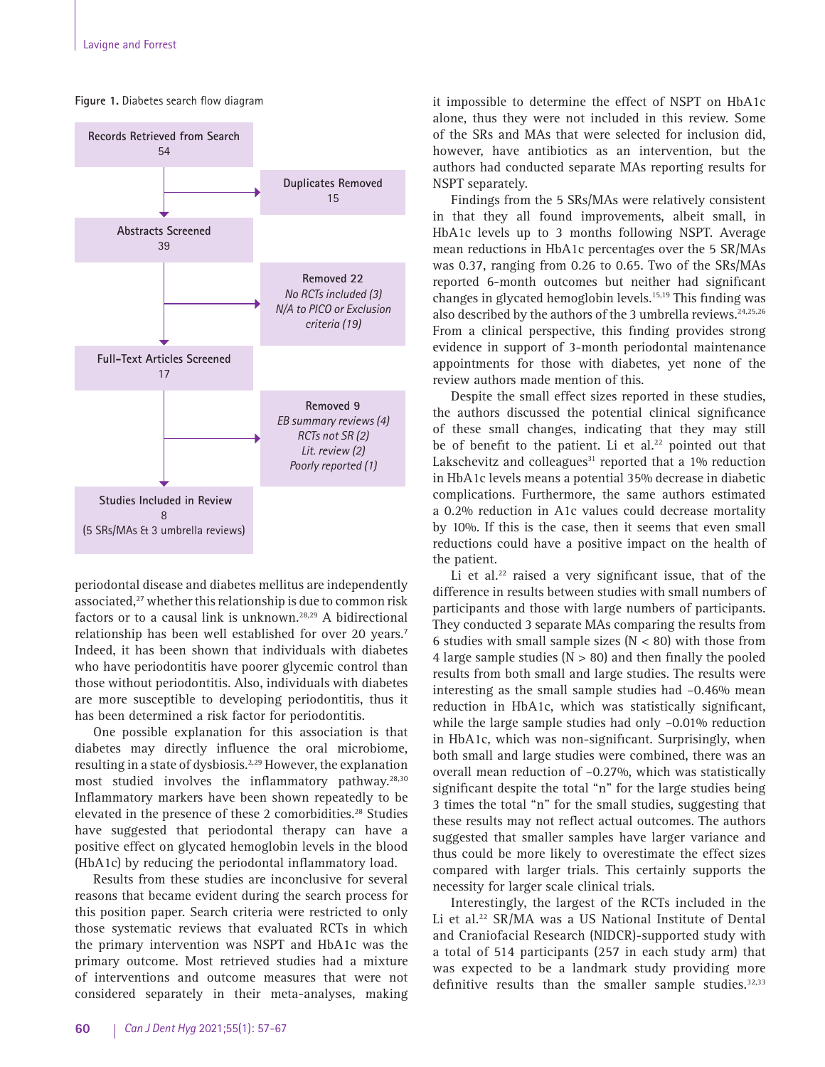

**Figure 1.** Diabetes search flow diagram

periodontal disease and diabetes mellitus are independently associated,<sup>27</sup> whether this relationship is due to common risk factors or to a causal link is unknown.28,29 A bidirectional relationship has been well established for over 20 years.<sup>7</sup> Indeed, it has been shown that individuals with diabetes who have periodontitis have poorer glycemic control than those without periodontitis. Also, individuals with diabetes are more susceptible to developing periodontitis, thus it has been determined a risk factor for periodontitis.

One possible explanation for this association is that diabetes may directly influence the oral microbiome, resulting in a state of dysbiosis.2,29 However, the explanation most studied involves the inflammatory pathway.<sup>28,30</sup> Inflammatory markers have been shown repeatedly to be elevated in the presence of these 2 comorbidities.<sup>28</sup> Studies have suggested that periodontal therapy can have a positive effect on glycated hemoglobin levels in the blood (HbA1c) by reducing the periodontal inflammatory load.

Results from these studies are inconclusive for several reasons that became evident during the search process for this position paper. Search criteria were restricted to only those systematic reviews that evaluated RCTs in which the primary intervention was NSPT and HbA1c was the primary outcome. Most retrieved studies had a mixture of interventions and outcome measures that were not considered separately in their meta-analyses, making it impossible to determine the effect of NSPT on HbA1c alone, thus they were not included in this review. Some of the SRs and MAs that were selected for inclusion did, however, have antibiotics as an intervention, but the authors had conducted separate MAs reporting results for NSPT separately.

Findings from the 5 SRs/MAs were relatively consistent in that they all found improvements, albeit small, in HbA1c levels up to 3 months following NSPT. Average mean reductions in HbA1c percentages over the 5 SR/MAs was 0.37, ranging from 0.26 to 0.65. Two of the SRs/MAs reported 6-month outcomes but neither had significant changes in glycated hemoglobin levels.15,19 This finding was also described by the authors of the 3 umbrella reviews.<sup>24,25,26</sup> From a clinical perspective, this finding provides strong evidence in support of 3-month periodontal maintenance appointments for those with diabetes, yet none of the review authors made mention of this.

Despite the small effect sizes reported in these studies, the authors discussed the potential clinical significance of these small changes, indicating that they may still be of benefit to the patient. Li et al.<sup>22</sup> pointed out that Lakschevitz and colleagues $31$  reported that a 1% reduction in HbA1c levels means a potential 35% decrease in diabetic complications. Furthermore, the same authors estimated a 0.2% reduction in A1c values could decrease mortality by 10%. If this is the case, then it seems that even small reductions could have a positive impact on the health of the patient.

Li et al. $22$  raised a very significant issue, that of the difference in results between studies with small numbers of participants and those with large numbers of participants. They conducted 3 separate MAs comparing the results from 6 studies with small sample sizes ( $N < 80$ ) with those from 4 large sample studies  $(N > 80)$  and then finally the pooled results from both small and large studies. The results were interesting as the small sample studies had –0.46% mean reduction in HbA1c, which was statistically significant, while the large sample studies had only –0.01% reduction in HbA1c, which was non-significant. Surprisingly, when both small and large studies were combined, there was an overall mean reduction of –0.27%, which was statistically significant despite the total "n" for the large studies being 3 times the total "n" for the small studies, suggesting that these results may not reflect actual outcomes. The authors suggested that smaller samples have larger variance and thus could be more likely to overestimate the effect sizes compared with larger trials. This certainly supports the necessity for larger scale clinical trials.

Interestingly, the largest of the RCTs included in the Li et al.<sup>22</sup> SR/MA was a US National Institute of Dental and Craniofacial Research (NIDCR)-supported study with a total of 514 participants (257 in each study arm) that was expected to be a landmark study providing more definitive results than the smaller sample studies. $32,33$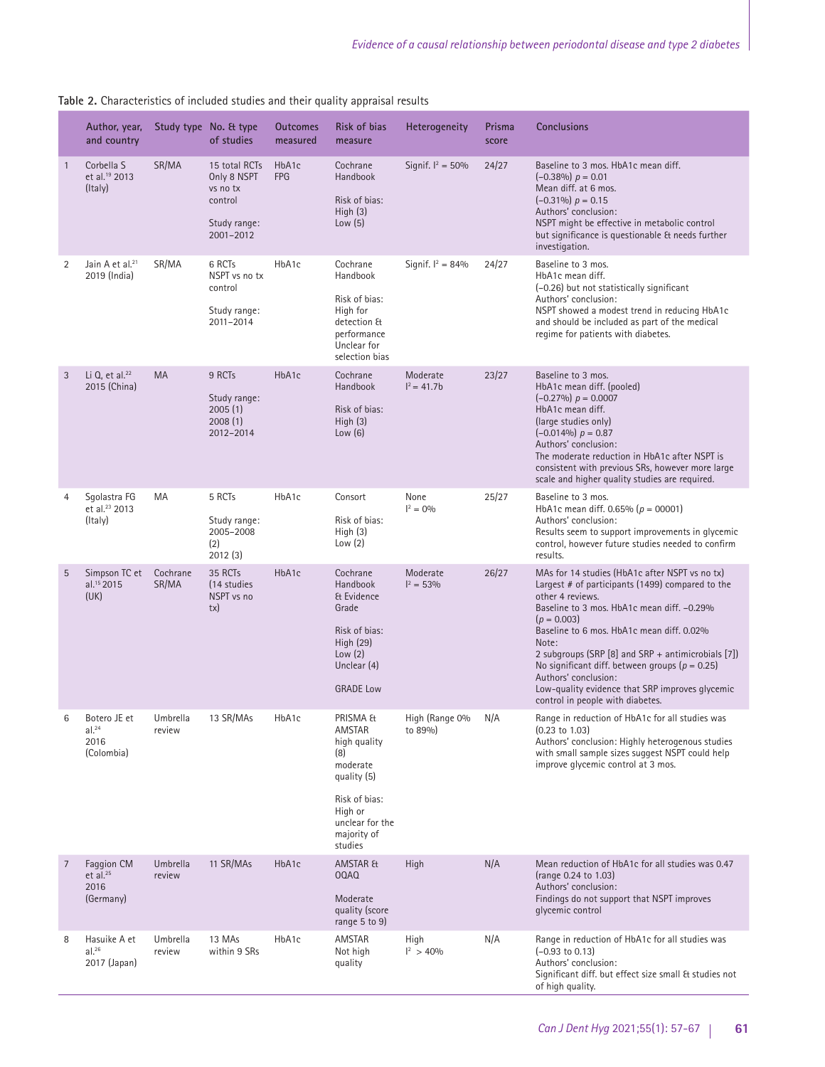|                | Author, year,<br>and country                            |                    | Study type No. & type<br>of studies                                              | <b>Outcomes</b><br>measured | Risk of bias<br>measure                                                                                                                       | Heterogeneity             | Prisma<br>score | <b>Conclusions</b>                                                                                                                                                                                                                                                                                                                                                                                                                                                          |
|----------------|---------------------------------------------------------|--------------------|----------------------------------------------------------------------------------|-----------------------------|-----------------------------------------------------------------------------------------------------------------------------------------------|---------------------------|-----------------|-----------------------------------------------------------------------------------------------------------------------------------------------------------------------------------------------------------------------------------------------------------------------------------------------------------------------------------------------------------------------------------------------------------------------------------------------------------------------------|
| $\mathbf{1}$   | Corbella S<br>et al. <sup>19</sup> 2013<br>(Italy)      | SR/MA              | 15 total RCTs<br>Only 8 NSPT<br>vs no tx<br>control<br>Study range:<br>2001-2012 | HbA1c<br><b>FPG</b>         | Cochrane<br>Handbook<br>Risk of bias:<br>High $(3)$<br>Low $(5)$                                                                              | Signif. $I^2 = 50\%$      | 24/27           | Baseline to 3 mos. HbA1c mean diff.<br>$(-0.38\%) p = 0.01$<br>Mean diff. at 6 mos.<br>$(-0.31\%) p = 0.15$<br>Authors' conclusion:<br>NSPT might be effective in metabolic control<br>but significance is questionable & needs further<br>investigation.                                                                                                                                                                                                                   |
| 2              | Jain A et al. <sup>21</sup><br>2019 (India)             | SR/MA              | 6 RCTs<br>NSPT vs no tx<br>control<br>Study range:<br>2011-2014                  | HbA1c                       | Cochrane<br>Handbook<br>Risk of bias:<br>High for<br>detection &<br>performance<br>Unclear for<br>selection bias                              | Signif. $I^2 = 84%$       | 24/27           | Baseline to 3 mos.<br>HbA1c mean diff.<br>(-0.26) but not statistically significant<br>Authors' conclusion:<br>NSPT showed a modest trend in reducing HbA1c<br>and should be included as part of the medical<br>regime for patients with diabetes.                                                                                                                                                                                                                          |
| 3              | Li Q, et al. <sup>22</sup><br>2015 (China)              | <b>MA</b>          | 9 RCTs<br>Study range:<br>2005(1)<br>2008(1)<br>2012-2014                        | HbA1c                       | Cochrane<br>Handbook<br>Risk of bias:<br>High $(3)$<br>Low(6)                                                                                 | Moderate<br>$I^2 = 41.7b$ | 23/27           | Baseline to 3 mos.<br>HbA1c mean diff. (pooled)<br>$(-0.27\%) p = 0.0007$<br>HbA1c mean diff.<br>(large studies only)<br>$(-0.014\%) p = 0.87$<br>Authors' conclusion:<br>The moderate reduction in HbA1c after NSPT is<br>consistent with previous SRs, however more large<br>scale and higher quality studies are required.                                                                                                                                               |
| $\overline{4}$ | Sqolastra FG<br>et al. <sup>23</sup> 2013<br>(Italy)    | MA                 | 5 RCTs<br>Study range:<br>2005-2008<br>(2)<br>2012(3)                            | HbA1c                       | Consort<br>Risk of bias:<br>High(3)<br>Low $(2)$                                                                                              | None<br>$I^2 = 0\%$       | 25/27           | Baseline to 3 mos.<br>HbA1c mean diff. 0.65% ( $p = 00001$ )<br>Authors' conclusion:<br>Results seem to support improvements in glycemic<br>control, however future studies needed to confirm<br>results.                                                                                                                                                                                                                                                                   |
| 5              | Simpson TC et<br>al. <sup>15</sup> 2015<br>(UK)         | Cochrane<br>SR/MA  | 35 RCTs<br>(14 studies<br>NSPT vs no<br>tx)                                      | HbA1c                       | Cochrane<br>Handbook<br>& Evidence<br>Grade<br>Risk of bias:<br>High (29)<br>Low(2)<br>Unclear (4)<br><b>GRADE Low</b>                        | Moderate<br>$I^2 = 53\%$  | 26/27           | MAs for 14 studies (HbA1c after NSPT vs no tx)<br>Largest # of participants (1499) compared to the<br>other 4 reviews.<br>Baseline to 3 mos. HbA1c mean diff. -0.29%<br>$(p = 0.003)$<br>Baseline to 6 mos. HbA1c mean diff. 0.02%<br>Note:<br>2 subgroups (SRP $[8]$ and SRP + antimicrobials $[7]$ )<br>No significant diff. between groups ( $p = 0.25$ )<br>Authors' conclusion:<br>Low-quality evidence that SRP improves glycemic<br>control in people with diabetes. |
| 6              | Botero JE et<br>al. <sup>24</sup><br>2016<br>(Colombia) | Umbrella<br>review | 13 SR/MAs                                                                        | HbA1c                       | PRISMA &<br>AMSTAR<br>high quality<br>(8)<br>moderate<br>quality (5)<br>Risk of bias:<br>High or<br>unclear for the<br>majority of<br>studies | High (Range 0%<br>to 89%) | N/A             | Range in reduction of HbA1c for all studies was<br>$(0.23 \text{ to } 1.03)$<br>Authors' conclusion: Highly heterogenous studies<br>with small sample sizes suggest NSPT could help<br>improve glycemic control at 3 mos.                                                                                                                                                                                                                                                   |
| 7              | Faggion CM<br>et al. $25$<br>2016<br>(Germany)          | Umbrella<br>review | 11 SR/MAs                                                                        | HbA1c                       | AMSTAR &<br>00AQ<br>Moderate<br>quality (score<br>range 5 to 9)                                                                               | High                      | N/A             | Mean reduction of HbA1c for all studies was 0.47<br>(range 0.24 to 1.03)<br>Authors' conclusion:<br>Findings do not support that NSPT improves<br>glycemic control                                                                                                                                                                                                                                                                                                          |
| 8              | Hasuike A et<br>al. <sup>26</sup><br>2017 (Japan)       | Umbrella<br>review | 13 MAs<br>within 9 SRs                                                           | HbA1c                       | AMSTAR<br>Not high<br>quality                                                                                                                 | High<br>$I^2$ > 40%       | N/A             | Range in reduction of HbA1c for all studies was<br>$(-0.93 \text{ to } 0.13)$<br>Authors' conclusion:<br>Significant diff. but effect size small & studies not<br>of high quality.                                                                                                                                                                                                                                                                                          |

**Table 2.** Characteristics of included studies and their quality appraisal results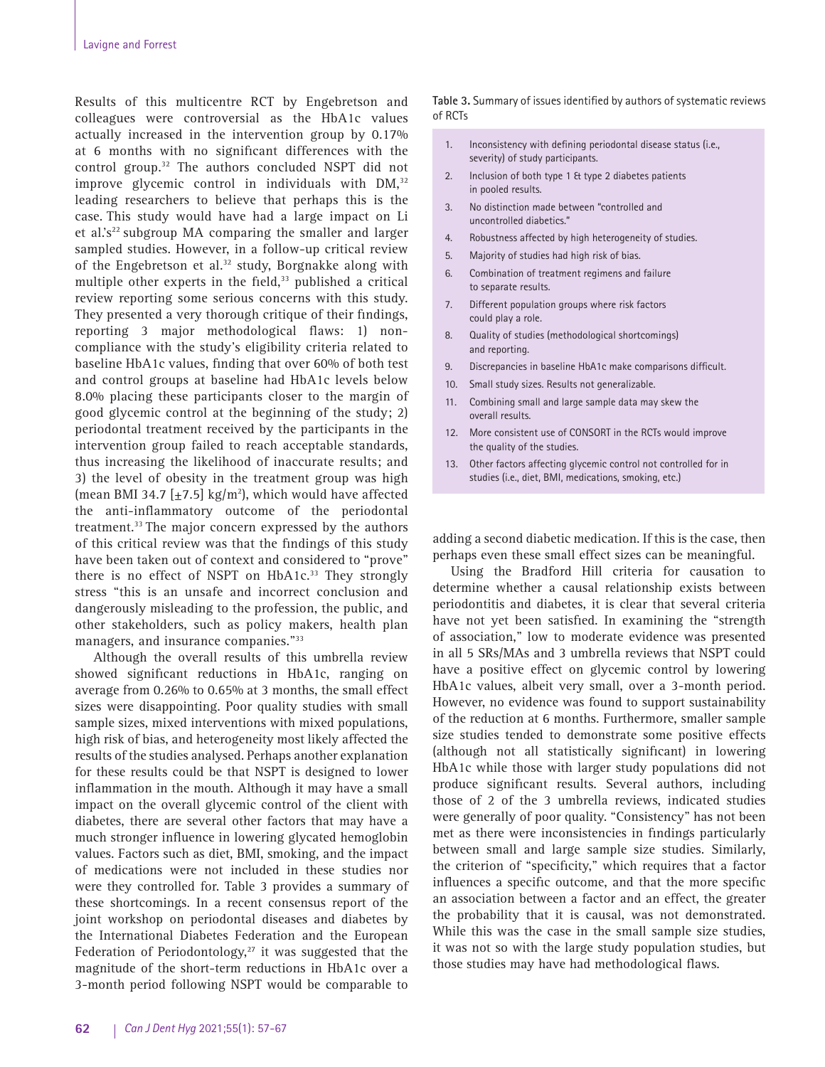Results of this multicentre RCT by Engebretson and colleagues were controversial as the HbA1c values actually increased in the intervention group by 0.17% at 6 months with no significant differences with the control group.32 The authors concluded NSPT did not improve glycemic control in individuals with  $DM,^{32}$ leading researchers to believe that perhaps this is the case. This study would have had a large impact on Li et al.'s<sup>22</sup> subgroup MA comparing the smaller and larger sampled studies. However, in a follow-up critical review of the Engebretson et al.<sup>32</sup> study, Borgnakke along with multiple other experts in the field, $33$  published a critical review reporting some serious concerns with this study. They presented a very thorough critique of their findings, reporting 3 major methodological flaws: 1) noncompliance with the study's eligibility criteria related to baseline HbA1c values, finding that over 60% of both test and control groups at baseline had HbA1c levels below 8.0% placing these participants closer to the margin of good glycemic control at the beginning of the study; 2) periodontal treatment received by the participants in the intervention group failed to reach acceptable standards, thus increasing the likelihood of inaccurate results; and 3) the level of obesity in the treatment group was high (mean BMI 34.7  $[\pm 7.5]$  kg/m<sup>2</sup>), which would have affected the anti-inflammatory outcome of the periodontal treatment.33 The major concern expressed by the authors of this critical review was that the findings of this study have been taken out of context and considered to "prove" there is no effect of NSPT on HbA1c.<sup>33</sup> They strongly stress "this is an unsafe and incorrect conclusion and dangerously misleading to the profession, the public, and other stakeholders, such as policy makers, health plan managers, and insurance companies."33

Although the overall results of this umbrella review showed significant reductions in HbA1c, ranging on average from 0.26% to 0.65% at 3 months, the small effect sizes were disappointing. Poor quality studies with small sample sizes, mixed interventions with mixed populations, high risk of bias, and heterogeneity most likely affected the results of the studies analysed. Perhaps another explanation for these results could be that NSPT is designed to lower inflammation in the mouth. Although it may have a small impact on the overall glycemic control of the client with diabetes, there are several other factors that may have a much stronger influence in lowering glycated hemoglobin values. Factors such as diet, BMI, smoking, and the impact of medications were not included in these studies nor were they controlled for. Table 3 provides a summary of these shortcomings. In a recent consensus report of the joint workshop on periodontal diseases and diabetes by the International Diabetes Federation and the European Federation of Periodontology,<sup>27</sup> it was suggested that the magnitude of the short-term reductions in HbA1c over a 3-month period following NSPT would be comparable to **Table 3.** Summary of issues identified by authors of systematic reviews of RCTs

- 1. Inconsistency with defining periodontal disease status (i.e., severity) of study participants.
- 2. Inclusion of both type 1 & type 2 diabetes patients in pooled results.
- 3. No distinction made between "controlled and uncontrolled diabetics."
- 4. Robustness affected by high heterogeneity of studies.
- 5. Majority of studies had high risk of bias.
- 6. Combination of treatment regimens and failure to separate results.
- 7. Different population groups where risk factors could play a role.
- 8. Quality of studies (methodological shortcomings) and reporting.
- 9. Discrepancies in baseline HbA1c make comparisons difficult.
- 10. Small study sizes. Results not generalizable.
- 11. Combining small and large sample data may skew the overall results.
- 12. More consistent use of CONSORT in the RCTs would improve the quality of the studies.
- 13. Other factors affecting glycemic control not controlled for in studies (i.e., diet, BMI, medications, smoking, etc.)

adding a second diabetic medication. If this is the case, then perhaps even these small effect sizes can be meaningful.

Using the Bradford Hill criteria for causation to determine whether a causal relationship exists between periodontitis and diabetes, it is clear that several criteria have not yet been satisfied. In examining the "strength of association," low to moderate evidence was presented in all 5 SRs/MAs and 3 umbrella reviews that NSPT could have a positive effect on glycemic control by lowering HbA1c values, albeit very small, over a 3-month period. However, no evidence was found to support sustainability of the reduction at 6 months. Furthermore, smaller sample size studies tended to demonstrate some positive effects (although not all statistically significant) in lowering HbA1c while those with larger study populations did not produce significant results. Several authors, including those of 2 of the 3 umbrella reviews, indicated studies were generally of poor quality. "Consistency" has not been met as there were inconsistencies in findings particularly between small and large sample size studies. Similarly, the criterion of "specificity," which requires that a factor influences a specific outcome, and that the more specific an association between a factor and an effect, the greater the probability that it is causal, was not demonstrated. While this was the case in the small sample size studies, it was not so with the large study population studies, but those studies may have had methodological flaws.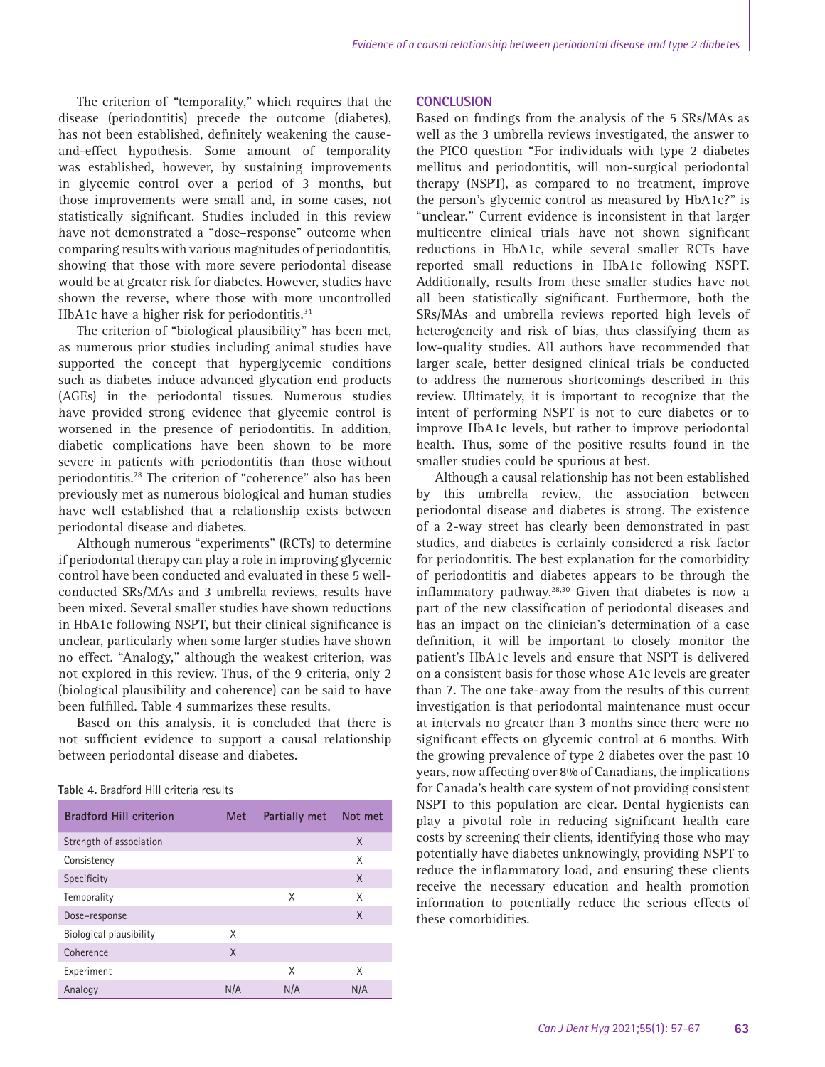The criterion of *"*temporality," which requires that the disease (periodontitis) precede the outcome (diabetes), has not been established, definitely weakening the causeand-effect hypothesis. Some amount of temporality was established, however, by sustaining improvements in glycemic control over a period of 3 months, but those improvements were small and, in some cases, not statistically significant. Studies included in this review have not demonstrated a "dose–response" outcome when comparing results with various magnitudes of periodontitis, showing that those with more severe periodontal disease would be at greater risk for diabetes. However, studies have shown the reverse, where those with more uncontrolled HbA1c have a higher risk for periodontitis.<sup>34</sup>

The criterion of "biological plausibility" has been met, as numerous prior studies including animal studies have supported the concept that hyperglycemic conditions such as diabetes induce advanced glycation end products (AGEs) in the periodontal tissues. Numerous studies have provided strong evidence that glycemic control is worsened in the presence of periodontitis. In addition, diabetic complications have been shown to be more severe in patients with periodontitis than those without periodontitis.28 The criterion of "coherence" also has been previously met as numerous biological and human studies have well established that a relationship exists between periodontal disease and diabetes.

Although numerous "experiments" (RCTs) to determine if periodontal therapy can play a role in improving glycemic control have been conducted and evaluated in these 5 wellconducted SRs/MAs and 3 umbrella reviews, results have been mixed. Several smaller studies have shown reductions in HbA1c following NSPT, but their clinical significance is unclear, particularly when some larger studies have shown no effect. "Analogy," although the weakest criterion, was not explored in this review. Thus, of the 9 criteria, only 2 (biological plausibility and coherence) can be said to have been fulfilled. Table 4 summarizes these results.

Based on this analysis, it is concluded that there is not sufficient evidence to support a causal relationship between periodontal disease and diabetes.

| Table 4. Bradford Hill criteria results |  |
|-----------------------------------------|--|
|-----------------------------------------|--|

| <b>Bradford Hill criterion</b> | Met | Partially met | Not met |
|--------------------------------|-----|---------------|---------|
| Strength of association        |     |               | X       |
| Consistency                    |     |               | X       |
| Specificity                    |     |               | X       |
| Temporality                    |     | X             | X       |
| Dose-response                  |     |               | X       |
| Biological plausibility        | X   |               |         |
| Coherence                      | X   |               |         |
| Experiment                     |     | X             | X       |
| Analogy                        | N/A | N/A           | N/A     |

#### **CONCLUSION**

Based on findings from the analysis of the 5 SRs/MAs as well as the 3 umbrella reviews investigated, the answer to the PICO question "For individuals with type 2 diabetes mellitus and periodontitis, will non-surgical periodontal therapy (NSPT), as compared to no treatment, improve the person's glycemic control as measured by HbA1c?" is "**unclear.**" Current evidence is inconsistent in that larger multicentre clinical trials have not shown significant reductions in HbA1c, while several smaller RCTs have reported small reductions in HbA1c following NSPT. Additionally, results from these smaller studies have not all been statistically significant. Furthermore, both the SRs/MAs and umbrella reviews reported high levels of heterogeneity and risk of bias, thus classifying them as low-quality studies. All authors have recommended that larger scale, better designed clinical trials be conducted to address the numerous shortcomings described in this review. Ultimately, it is important to recognize that the intent of performing NSPT is not to cure diabetes or to improve HbA1c levels, but rather to improve periodontal health. Thus, some of the positive results found in the smaller studies could be spurious at best.

Although a causal relationship has not been established by this umbrella review, the association between periodontal disease and diabetes is strong. The existence of a 2-way street has clearly been demonstrated in past studies, and diabetes is certainly considered a risk factor for periodontitis. The best explanation for the comorbidity of periodontitis and diabetes appears to be through the inflammatory pathway.28,30 Given that diabetes is now a part of the new classification of periodontal diseases and has an impact on the clinician's determination of a case definition, it will be important to closely monitor the patient's HbA1c levels and ensure that NSPT is delivered on a consistent basis for those whose A1c levels are greater than 7. The one take-away from the results of this current investigation is that periodontal maintenance must occur at intervals no greater than 3 months since there were no significant effects on glycemic control at 6 months. With the growing prevalence of type 2 diabetes over the past 10 years, now affecting over 8% of Canadians, the implications for Canada's health care system of not providing consistent NSPT to this population are clear. Dental hygienists can play a pivotal role in reducing significant health care costs by screening their clients, identifying those who may potentially have diabetes unknowingly, providing NSPT to reduce the inflammatory load, and ensuring these clients receive the necessary education and health promotion information to potentially reduce the serious effects of these comorbidities.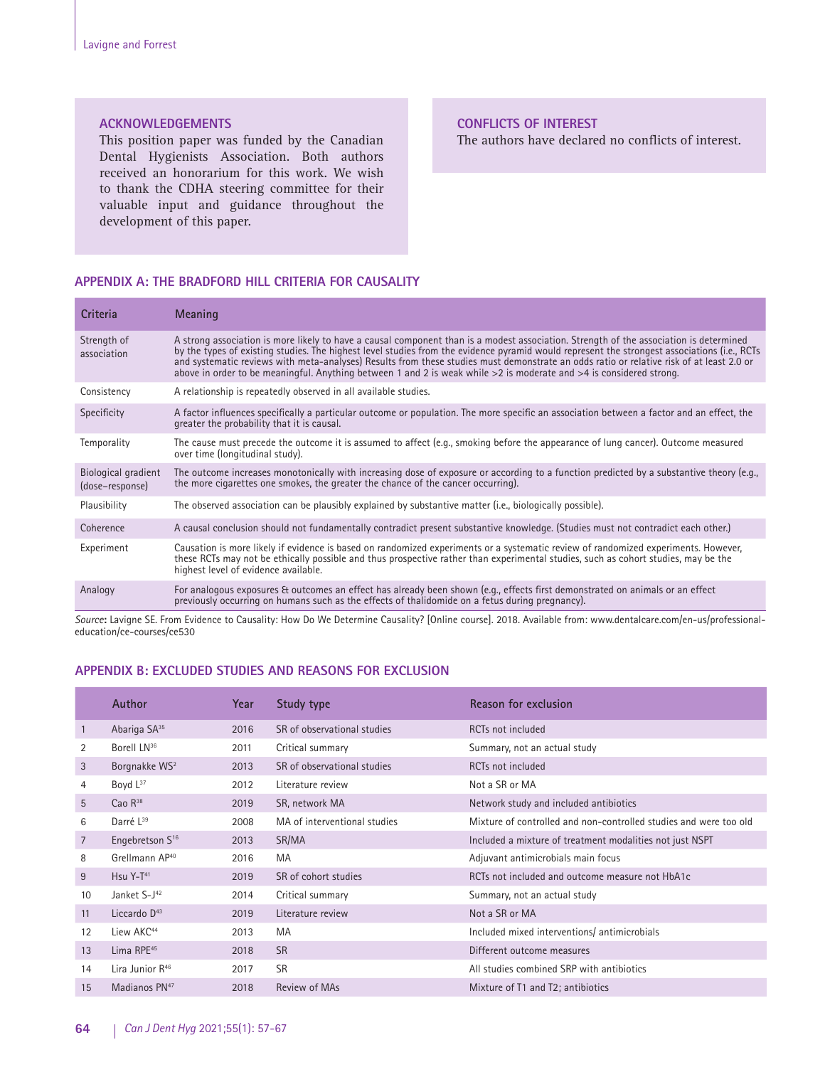### **ACKNOWLEDGEMENTS**

This position paper was funded by the Canadian Dental Hygienists Association. Both authors received an honorarium for this work. We wish to thank the CDHA steering committee for their valuable input and guidance throughout the development of this paper.

### **CONFLICTS OF INTEREST**

The authors have declared no conflicts of interest.

# **APPENDIX A: THE BRADFORD HILL CRITERIA FOR CAUSALITY**

| Criteria                               | Meaning                                                                                                                                                                                                                                                                                                                                                                                                                                                                                                                                                       |
|----------------------------------------|---------------------------------------------------------------------------------------------------------------------------------------------------------------------------------------------------------------------------------------------------------------------------------------------------------------------------------------------------------------------------------------------------------------------------------------------------------------------------------------------------------------------------------------------------------------|
| Strength of<br>association             | A strong association is more likely to have a causal component than is a modest association. Strength of the association is determined<br>by the types of existing studies. The highest level studies from the evidence pyramid would represent the strongest associations (i.e., RCTs<br>and systematic reviews with meta-analyses) Results from these studies must demonstrate an odds ratio or relative risk of at least 2.0 or<br>above in order to be meaningful. Anything between 1 and 2 is weak while $>2$ is moderate and $>4$ is considered strong. |
| Consistency                            | A relationship is repeatedly observed in all available studies.                                                                                                                                                                                                                                                                                                                                                                                                                                                                                               |
| Specificity                            | A factor influences specifically a particular outcome or population. The more specific an association between a factor and an effect, the<br>greater the probability that it is causal.                                                                                                                                                                                                                                                                                                                                                                       |
| Temporality                            | The cause must precede the outcome it is assumed to affect (e.g., smoking before the appearance of lung cancer). Outcome measured<br>over time (longitudinal study).                                                                                                                                                                                                                                                                                                                                                                                          |
| Biological gradient<br>(dose-response) | The outcome increases monotonically with increasing dose of exposure or according to a function predicted by a substantive theory (e.g.,<br>the more cigarettes one smokes, the greater the chance of the cancer occurring).                                                                                                                                                                                                                                                                                                                                  |
| Plausibility                           | The observed association can be plausibly explained by substantive matter (i.e., biologically possible).                                                                                                                                                                                                                                                                                                                                                                                                                                                      |
| Coherence                              | A causal conclusion should not fundamentally contradict present substantive knowledge. (Studies must not contradict each other.)                                                                                                                                                                                                                                                                                                                                                                                                                              |
| Experiment                             | Causation is more likely if evidence is based on randomized experiments or a systematic review of randomized experiments. However,<br>these RCTs may not be ethically possible and thus prospective rather than experimental studies, such as cohort studies, may be the<br>highest level of evidence available.                                                                                                                                                                                                                                              |
| Analogy                                | For analogous exposures & outcomes an effect has already been shown (e.g., effects first demonstrated on animals or an effect<br>previously occurring on humans such as the effects of thalidomide on a fetus during pregnancy).<br>المستوقف والمنافس والمستحيل والمستحقق والمستحيل والمستحدث والمستحدث والمستحدث والمستحدث والمستحدث والمستحدث والمستحدث                                                                                                                                                                                                     |

*Source***:** Lavigne SE. From Evidence to Causality: How Do We Determine Causality? [Online course]. 2018. Available from: www.dentalcare.com/en-us/professionaleducation/ce-courses/ce530

# **APPENDIX B: EXCLUDED STUDIES AND REASONS FOR EXCLUSION**

|                | Author                      | Year | Study type                   | Reason for exclusion                                              |
|----------------|-----------------------------|------|------------------------------|-------------------------------------------------------------------|
| 1              | Abariga SA <sup>35</sup>    | 2016 | SR of observational studies  | RCTs not included                                                 |
| 2              | Borell LN <sup>36</sup>     | 2011 | Critical summary             | Summary, not an actual study                                      |
| 3              | Borgnakke WS <sup>2</sup>   | 2013 | SR of observational studies  | RCTs not included                                                 |
| 4              | Boyd L <sup>37</sup>        | 2012 | Literature review            | Not a SR or MA                                                    |
| 5              | Cao $R^{38}$                | 2019 | SR, network MA               | Network study and included antibiotics                            |
| 6              | Darré L <sup>39</sup>       | 2008 | MA of interventional studies | Mixture of controlled and non-controlled studies and were too old |
| $\overline{7}$ | Engebretson S <sup>16</sup> | 2013 | SR/MA                        | Included a mixture of treatment modalities not just NSPT          |
| 8              | Grellmann AP <sup>40</sup>  | 2016 | MA                           | Adjuvant antimicrobials main focus                                |
| 9              | Hsu Y-T <sup>41</sup>       | 2019 | SR of cohort studies         | RCTs not included and outcome measure not HbA1c                   |
| 10             | Janket S-J <sup>42</sup>    | 2014 | Critical summary             | Summary, not an actual study                                      |
| 11             | Liccardo $D43$              | 2019 | Literature review            | Not a SR or MA                                                    |
| 12             | Liew AKC <sup>44</sup>      | 2013 | MA                           | Included mixed interventions/ antimicrobials                      |
| 13             | Lima RPE <sup>45</sup>      | 2018 | <b>SR</b>                    | Different outcome measures                                        |
| 14             | Lira Junior R <sup>46</sup> | 2017 | <b>SR</b>                    | All studies combined SRP with antibiotics                         |
| 15             | Madianos PN <sup>47</sup>   | 2018 | Review of MAs                | Mixture of T1 and T2; antibiotics                                 |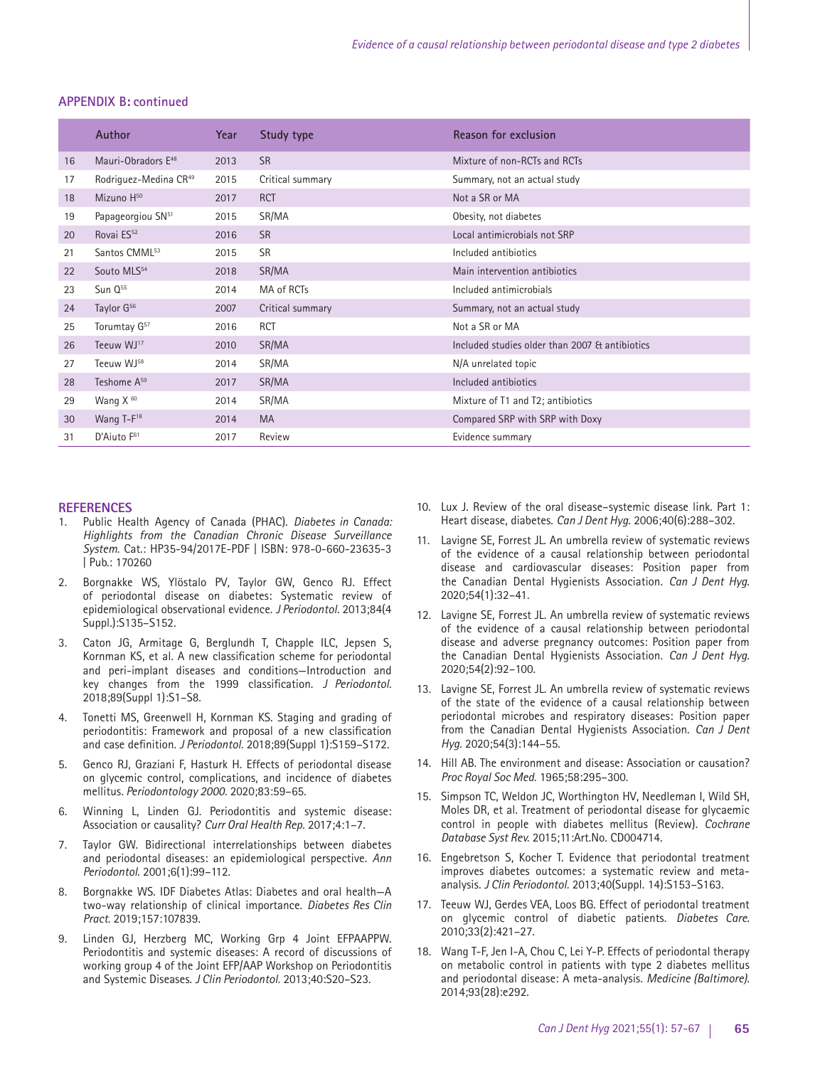#### **APPENDIX B: continued**

|    | <b>Author</b>                     | Year | Study type       | Reason for exclusion                           |
|----|-----------------------------------|------|------------------|------------------------------------------------|
| 16 | Mauri-Obradors E <sup>48</sup>    | 2013 | <b>SR</b>        | Mixture of non-RCTs and RCTs                   |
| 17 | Rodriguez-Medina CR <sup>49</sup> | 2015 | Critical summary | Summary, not an actual study                   |
| 18 | Mizuno H <sup>50</sup>            | 2017 | <b>RCT</b>       | Not a SR or MA                                 |
| 19 | Papageorgiou SN <sup>51</sup>     | 2015 | SR/MA            | Obesity, not diabetes                          |
| 20 | Rovai ES <sup>52</sup>            | 2016 | <b>SR</b>        | Local antimicrobials not SRP                   |
| 21 | Santos CMML <sup>53</sup>         | 2015 | <b>SR</b>        | Included antibiotics                           |
| 22 | Souto MLS <sup>54</sup>           | 2018 | SR/MA            | Main intervention antibiotics                  |
| 23 | $Sun Q^{55}$                      | 2014 | MA of RCTs       | Included antimicrobials                        |
| 24 | Taylor G <sup>56</sup>            | 2007 | Critical summary | Summary, not an actual study                   |
| 25 | Torumtay G <sup>57</sup>          | 2016 | <b>RCT</b>       | Not a SR or MA                                 |
| 26 | Teeuw WJ <sup>17</sup>            | 2010 | SR/MA            | Included studies older than 2007 & antibiotics |
| 27 | Teeuw WJ <sup>58</sup>            | 2014 | SR/MA            | N/A unrelated topic                            |
| 28 | Teshome A <sup>59</sup>           | 2017 | SR/MA            | Included antibiotics                           |
| 29 | Wang $X^{60}$                     | 2014 | SR/MA            | Mixture of T1 and T2; antibiotics              |
| 30 | Wang T-F <sup>18</sup>            | 2014 | MA               | Compared SRP with SRP with Doxy                |
| 31 | D'Aiuto F <sup>61</sup>           | 2017 | Review           | Evidence summary                               |

#### **REFERENCES**

- 1. Public Health Agency of Canada (PHAC). *Diabetes in Canada: Highlights from the Canadian Chronic Disease Surveillance System*. Cat.: HP35-94/2017E-PDF | ISBN: 978-0-660-23635-3 | Pub.: 170260
- 2. Borgnakke WS, Ylöstalo PV, Taylor GW, Genco RJ. Effect of periodontal disease on diabetes: Systematic review of epidemiological observational evidence. *J Periodontol.* 2013;84(4 Suppl.):S135–S152.
- 3. Caton JG, Armitage G, Berglundh T, Chapple ILC, Jepsen S, Kornman KS, et al. A new classification scheme for periodontal and peri-implant diseases and conditions—Introduction and key changes from the 1999 classification. *J Periodontol*. 2018;89(Suppl 1):S1–S8.
- 4. Tonetti MS, Greenwell H, Kornman KS. Staging and grading of periodontitis: Framework and proposal of a new classification and case definition. *J Periodontol.* 2018;89(Suppl 1):S159–S172.
- 5. Genco RJ, Graziani F, Hasturk H. Effects of periodontal disease on glycemic control, complications, and incidence of diabetes mellitus*. Periodontology 2000.* 2020;83:59–65.
- 6. Winning L, Linden GJ. Periodontitis and systemic disease: Association or causality? *Curr Oral Health Rep.* 2017;4:1–7.
- 7. Taylor GW. Bidirectional interrelationships between diabetes and periodontal diseases: an epidemiological perspective. *Ann Periodontol.* 2001;6(1):99–112.
- 8. Borgnakke WS. IDF Diabetes Atlas: Diabetes and oral health—A two-way relationship of clinical importance. *Diabetes Res Clin Pract*. 2019;157:107839.
- 9. Linden GJ, Herzberg MC, Working Grp 4 Joint EFPAAPPW. Periodontitis and systemic diseases: A record of discussions of working group 4 of the Joint EFP/AAP Workshop on Periodontitis and Systemic Diseases. *J Clin Periodontol.* 2013;40:S20–S23.
- 10. Lux J. Review of the oral disease–systemic disease link. Part 1: Heart disease, diabetes. *Can J Dent Hyg.* 2006;40(6):288–302.
- 11. Lavigne SE, Forrest JL. An umbrella review of systematic reviews of the evidence of a causal relationship between periodontal disease and cardiovascular diseases: Position paper from the Canadian Dental Hygienists Association. *Can J Dent Hyg.* 2020;54(1):32–41.
- 12. Lavigne SE, Forrest JL. An umbrella review of systematic reviews of the evidence of a causal relationship between periodontal disease and adverse pregnancy outcomes: Position paper from the Canadian Dental Hygienists Association. *Can J Dent Hyg.* 2020;54(2):92–100.
- 13. Lavigne SE, Forrest JL. An umbrella review of systematic reviews of the state of the evidence of a causal relationship between periodontal microbes and respiratory diseases: Position paper from the Canadian Dental Hygienists Association. *Can J Dent Hyg.* 2020;54(3):144–55.
- 14. Hill AB. The environment and disease: Association or causation? *Proc Royal Soc Med.* 1965;58:295–300.
- 15. Simpson TC, Weldon JC, Worthington HV, Needleman I, Wild SH, Moles DR, et al. Treatment of periodontal disease for glycaemic control in people with diabetes mellitus (Review). *Cochrane Database Syst Rev.* 2015;11:Art.No. CD004714.
- 16. Engebretson S, Kocher T. Evidence that periodontal treatment improves diabetes outcomes: a systematic review and metaanalysis. *J Clin Periodontol.* 2013;40(Suppl. 14):S153–S163.
- 17. Teeuw WJ, Gerdes VEA, Loos BG. Effect of periodontal treatment on glycemic control of diabetic patients. *Diabetes Care.* 2010;33(2):421–27.
- 18. Wang T-F, Jen I-A, Chou C, Lei Y-P. Effects of periodontal therapy on metabolic control in patients with type 2 diabetes mellitus and periodontal disease: A meta-analysis. *Medicine (Baltimore).*  2014;93(28):e292.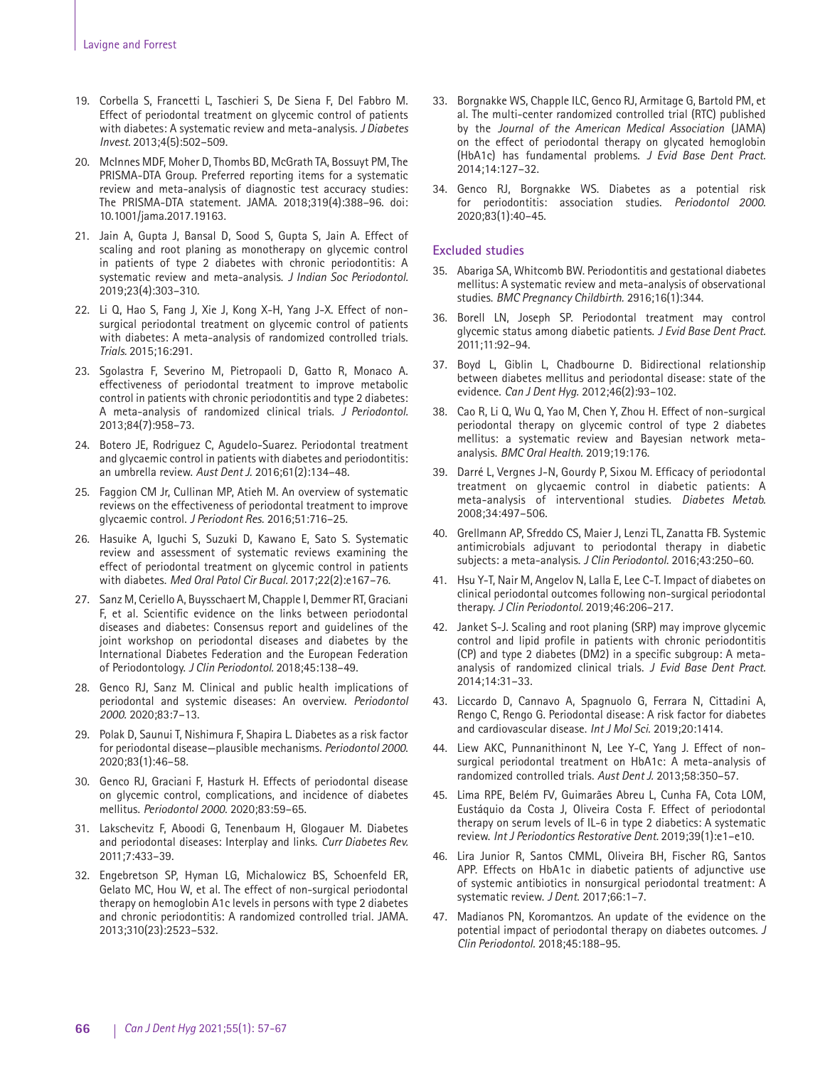- 19. Corbella S, Francetti L, Taschieri S, De Siena F, Del Fabbro M. Effect of periodontal treatment on glycemic control of patients with diabetes: A systematic review and meta-analysis. *J Diabetes Invest.* 2013;4(5):502–509.
- 20. McInnes MDF, Moher D, Thombs BD, McGrath TA, Bossuyt PM, The PRISMA-DTA Group. Preferred reporting items for a systematic review and meta-analysis of diagnostic test accuracy studies: The PRISMA-DTA statement. JAMA. 2018;319(4):388–96. doi: 10.1001/jama.2017.19163.
- 21. Jain A, Gupta J, Bansal D, Sood S, Gupta S, Jain A. Effect of scaling and root planing as monotherapy on glycemic control in patients of type 2 diabetes with chronic periodontitis: A systematic review and meta-analysis. *J Indian Soc Periodontol.* 2019;23(4):303–310.
- 22. Li Q, Hao S, Fang J, Xie J, Kong X-H, Yang J-X. Effect of nonsurgical periodontal treatment on glycemic control of patients with diabetes: A meta-analysis of randomized controlled trials. *Trials.* 2015;16:291.
- 23. Sgolastra F, Severino M, Pietropaoli D, Gatto R, Monaco A. effectiveness of periodontal treatment to improve metabolic control in patients with chronic periodontitis and type 2 diabetes: A meta-analysis of randomized clinical trials. *J Periodontol.* 2013;84(7):958–73.
- 24. Botero JE, Rodriguez C, Agudelo-Suarez. Periodontal treatment and glycaemic control in patients with diabetes and periodontitis: an umbrella review. *Aust Dent J.* 2016;61(2):134–48.
- 25. Faggion CM Jr, Cullinan MP, Atieh M. An overview of systematic reviews on the effectiveness of periodontal treatment to improve glycaemic control. *J Periodont Res.* 2016;51:716–25.
- 26. Hasuike A, Iguchi S, Suzuki D, Kawano E, Sato S. Systematic review and assessment of systematic reviews examining the effect of periodontal treatment on glycemic control in patients with diabetes. *Med Oral Patol Cir Bucal.* 2017;22(2):e167–76.
- 27. Sanz M, Ceriello A, Buysschaert M, Chapple I, Demmer RT, Graciani F, et al. Scientific evidence on the links between periodontal diseases and diabetes: Consensus report and guidelines of the joint workshop on periodontal diseases and diabetes by the International Diabetes Federation and the European Federation of Periodontology. *J Clin Periodontol.* 2018;45:138–49.
- 28. Genco RJ, Sanz M. Clinical and public health implications of periodontal and systemic diseases: An overview. *Periodontol 2000.* 2020;83:7–13.
- 29. Polak D, Saunui T, Nishimura F, Shapira L. Diabetes as a risk factor for periodontal disease—plausible mechanisms. *Periodontol 2000*. 2020;83(1):46–58.
- 30. Genco RJ, Graciani F, Hasturk H. Effects of periodontal disease on glycemic control, complications, and incidence of diabetes mellitus. *Periodontol 2000.* 2020;83:59–65.
- 31. Lakschevitz F, Aboodi G, Tenenbaum H, Glogauer M. Diabetes and periodontal diseases: Interplay and links. *Curr Diabetes Rev.* 2011;7:433–39.
- 32. Engebretson SP, Hyman LG, Michalowicz BS, Schoenfeld ER, Gelato MC, Hou W, et al. The effect of non-surgical periodontal therapy on hemoglobin A1c levels in persons with type 2 diabetes and chronic periodontitis: A randomized controlled trial. JAMA*.*  2013;310(23):2523–532.
- 33. Borgnakke WS, Chapple ILC, Genco RJ, Armitage G, Bartold PM, et al. The multi-center randomized controlled trial (RTC) published by the *Journal of the American Medical Association* (JAMA) on the effect of periodontal therapy on glycated hemoglobin (HbA1c) has fundamental problems. *J Evid Base Dent Pract.* 2014;14:127–32.
- 34. Genco RJ, Borgnakke WS. Diabetes as a potential risk for periodontitis: association studies. *Periodontol 2000.* 2020;83(1):40–45.

# **Excluded studies**

- 35. Abariga SA, Whitcomb BW. Periodontitis and gestational diabetes mellitus: A systematic review and meta-analysis of observational studies. *BMC Pregnancy Childbirth.* 2916;16(1):344.
- 36. Borell LN, Joseph SP. Periodontal treatment may control glycemic status among diabetic patients. *J Evid Base Dent Pract.* 2011;11:92–94.
- 37. Boyd L, Giblin L, Chadbourne D. Bidirectional relationship between diabetes mellitus and periodontal disease: state of the evidence. *Can J Dent Hyg.* 2012;46(2):93–102.
- 38. Cao R, Li Q, Wu Q, Yao M, Chen Y, Zhou H. Effect of non-surgical periodontal therapy on glycemic control of type 2 diabetes mellitus: a systematic review and Bayesian network metaanalysis. *BMC Oral Health.* 2019;19:176.
- Darré L, Vergnes J-N, Gourdy P, Sixou M. Efficacy of periodontal treatment on glycaemic control in diabetic patients: A meta-analysis of interventional studies. *Diabetes Metab.* 2008;34:497–506.
- 40. Grellmann AP, Sfreddo CS, Maier J, Lenzi TL, Zanatta FB. Systemic antimicrobials adjuvant to periodontal therapy in diabetic subjects: a meta-analysis. *J Clin Periodontol.* 2016;43:250–60.
- 41. Hsu Y-T, Nair M, Angelov N, Lalla E, Lee C-T. Impact of diabetes on clinical periodontal outcomes following non-surgical periodontal therapy. *J Clin Periodontol.* 2019;46:206–217.
- 42. Janket S-J. Scaling and root planing (SRP) may improve glycemic control and lipid profile in patients with chronic periodontitis (CP) and type 2 diabetes (DM2) in a specific subgroup: A metaanalysis of randomized clinical trials. *J Evid Base Dent Pract.* 2014;14:31–33.
- 43. Liccardo D, Cannavo A, Spagnuolo G, Ferrara N, Cittadini A, Rengo C, Rengo G. Periodontal disease: A risk factor for diabetes and cardiovascular disease. *Int J Mol Sci.* 2019;20:1414.
- 44. Liew AKC, Punnanithinont N, Lee Y-C, Yang J. Effect of nonsurgical periodontal treatment on HbA1c: A meta-analysis of randomized controlled trials. *Aust Dent J.* 2013;58:350–57.
- 45. Lima RPE, Belém FV, Guimarães Abreu L, Cunha FA, Cota LOM, Eustáquio da Costa J, Oliveira Costa F. Effect of periodontal therapy on serum levels of IL-6 in type 2 diabetics: A systematic review. *Int J Periodontics Restorative Dent.* 2019;39(1):e1–e10.
- 46. Lira Junior R, Santos CMML, Oliveira BH, Fischer RG, Santos APP. Effects on HbA1c in diabetic patients of adjunctive use of systemic antibiotics in nonsurgical periodontal treatment: A systematic review. *J Dent*. 2017;66:1–7.
- 47. Madianos PN, Koromantzos. An update of the evidence on the potential impact of periodontal therapy on diabetes outcomes. *J Clin Periodontol.* 2018;45:188–95.